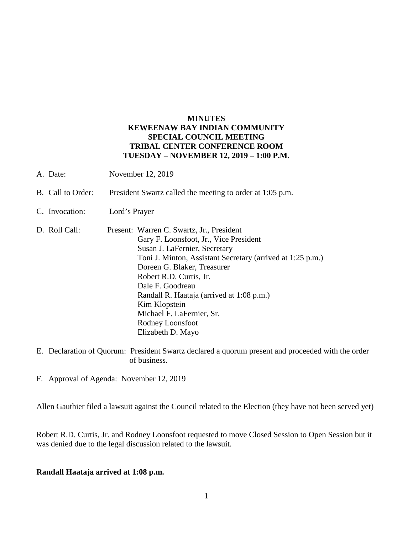## **MINUTES KEWEENAW BAY INDIAN COMMUNITY SPECIAL COUNCIL MEETING TRIBAL CENTER CONFERENCE ROOM TUESDAY – NOVEMBER 12, 2019 – 1:00 P.M.**

- A. Date: November 12, 2019
- B. Call to Order: President Swartz called the meeting to order at 1:05 p.m.
- C. Invocation: Lord's Prayer
- D. Roll Call: Present: Warren C. Swartz, Jr., President Gary F. Loonsfoot, Jr., Vice President Susan J. LaFernier, Secretary Toni J. Minton, Assistant Secretary (arrived at 1:25 p.m.) Doreen G. Blaker, Treasurer Robert R.D. Curtis, Jr. Dale F. Goodreau Randall R. Haataja (arrived at 1:08 p.m.) Kim Klopstein Michael F. LaFernier, Sr. Rodney Loonsfoot Elizabeth D. Mayo
- E. Declaration of Quorum: President Swartz declared a quorum present and proceeded with the order of business.
- F. Approval of Agenda: November 12, 2019

Allen Gauthier filed a lawsuit against the Council related to the Election (they have not been served yet)

Robert R.D. Curtis, Jr. and Rodney Loonsfoot requested to move Closed Session to Open Session but it was denied due to the legal discussion related to the lawsuit.

## **Randall Haataja arrived at 1:08 p.m.**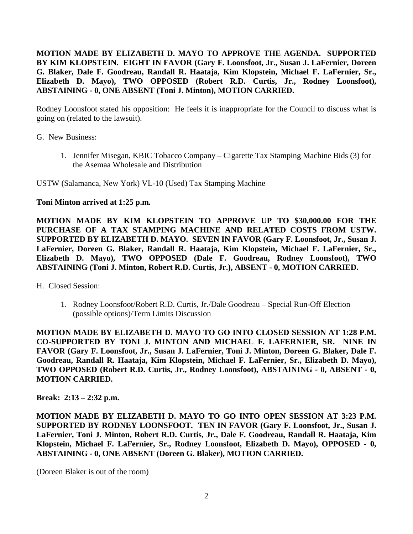**MOTION MADE BY ELIZABETH D. MAYO TO APPROVE THE AGENDA. SUPPORTED BY KIM KLOPSTEIN. EIGHT IN FAVOR (Gary F. Loonsfoot, Jr., Susan J. LaFernier, Doreen G. Blaker, Dale F. Goodreau, Randall R. Haataja, Kim Klopstein, Michael F. LaFernier, Sr., Elizabeth D. Mayo), TWO OPPOSED (Robert R.D. Curtis, Jr., Rodney Loonsfoot), ABSTAINING - 0, ONE ABSENT (Toni J. Minton), MOTION CARRIED.**

Rodney Loonsfoot stated his opposition: He feels it is inappropriate for the Council to discuss what is going on (related to the lawsuit).

G. New Business:

1. Jennifer Misegan, KBIC Tobacco Company – Cigarette Tax Stamping Machine Bids (3) for the Asemaa Wholesale and Distribution

USTW (Salamanca, New York) VL-10 (Used) Tax Stamping Machine

## **Toni Minton arrived at 1:25 p.m.**

**MOTION MADE BY KIM KLOPSTEIN TO APPROVE UP TO \$30,000.00 FOR THE PURCHASE OF A TAX STAMPING MACHINE AND RELATED COSTS FROM USTW. SUPPORTED BY ELIZABETH D. MAYO. SEVEN IN FAVOR (Gary F. Loonsfoot, Jr., Susan J. LaFernier, Doreen G. Blaker, Randall R. Haataja, Kim Klopstein, Michael F. LaFernier, Sr., Elizabeth D. Mayo), TWO OPPOSED (Dale F. Goodreau, Rodney Loonsfoot), TWO ABSTAINING (Toni J. Minton, Robert R.D. Curtis, Jr.), ABSENT - 0, MOTION CARRIED.**

- H. Closed Session:
	- 1. Rodney Loonsfoot/Robert R.D. Curtis, Jr./Dale Goodreau Special Run-Off Election (possible options)/Term Limits Discussion

**MOTION MADE BY ELIZABETH D. MAYO TO GO INTO CLOSED SESSION AT 1:28 P.M. CO-SUPPORTED BY TONI J. MINTON AND MICHAEL F. LAFERNIER, SR. NINE IN FAVOR (Gary F. Loonsfoot, Jr., Susan J. LaFernier, Toni J. Minton, Doreen G. Blaker, Dale F. Goodreau, Randall R. Haataja, Kim Klopstein, Michael F. LaFernier, Sr., Elizabeth D. Mayo), TWO OPPOSED (Robert R.D. Curtis, Jr., Rodney Loonsfoot), ABSTAINING - 0, ABSENT - 0, MOTION CARRIED.**

**Break: 2:13 – 2:32 p.m.**

**MOTION MADE BY ELIZABETH D. MAYO TO GO INTO OPEN SESSION AT 3:23 P.M. SUPPORTED BY RODNEY LOONSFOOT. TEN IN FAVOR (Gary F. Loonsfoot, Jr., Susan J. LaFernier, Toni J. Minton, Robert R.D. Curtis, Jr., Dale F. Goodreau, Randall R. Haataja, Kim Klopstein, Michael F. LaFernier, Sr., Rodney Loonsfoot, Elizabeth D. Mayo), OPPOSED - 0, ABSTAINING - 0, ONE ABSENT (Doreen G. Blaker), MOTION CARRIED.**

(Doreen Blaker is out of the room)